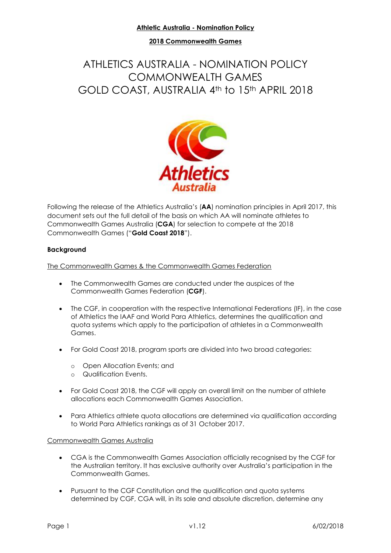# **2018 Commonwealth Games**

# ATHLETICS AUSTRALIA - NOMINATION POLICY COMMONWEALTH GAMES GOLD COAST, AUSTRALIA 4th to 15th APRIL 2018



Following the release of the Athletics Australia's (**AA**) nomination principles in April 2017, this document sets out the full detail of the basis on which AA will nominate athletes to Commonwealth Games Australia (**CGA**) for selection to compete at the 2018 Commonwealth Games ("**Gold Coast 2018**").

#### **Background**

The Commonwealth Games & the Commonwealth Games Federation

- The Commonwealth Games are conducted under the auspices of the Commonwealth Games Federation (**CGF**).
- The CGF, in cooperation with the respective International Federations (IF), in the case of Athletics the IAAF and World Para Athletics, determines the qualification and quota systems which apply to the participation of athletes in a Commonwealth Games.
- For Gold Coast 2018, program sports are divided into two broad categories:
	- o Open Allocation Events; and
	- o Qualification Events.
- For Gold Coast 2018, the CGF will apply an overall limit on the number of athlete allocations each Commonwealth Games Association.
- Para Athletics athlete quota allocations are determined via qualification according to World Para Athletics rankings as of 31 October 2017.

#### Commonwealth Games Australia

- CGA is the Commonwealth Games Association officially recognised by the CGF for the Australian territory. It has exclusive authority over Australia's participation in the Commonwealth Games.
- Pursuant to the CGF Constitution and the qualification and quota systems determined by CGF, CGA will, in its sole and absolute discretion, determine any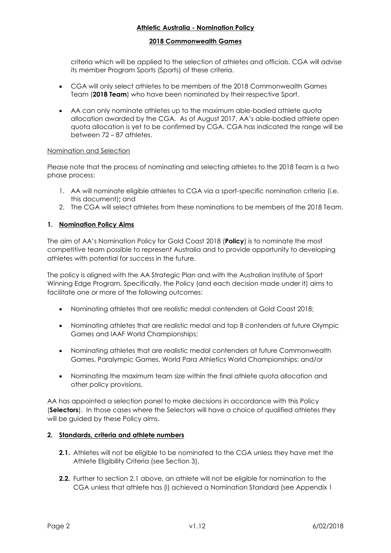#### **2018 Commonwealth Games**

criteria which will be applied to the selection of athletes and officials. CGA will advise its member Program Sports (Sports) of these criteria.

- CGA will only select athletes to be members of the 2018 Commonwealth Games Team (**2018 Team**) who have been nominated by their respective Sport.
- AA can only nominate athletes up to the maximum able-bodied athlete quota allocation awarded by the CGA. As of August 2017, AA's able-bodied athlete open quota allocation is yet to be confirmed by CGA. CGA has indicated the range will be between 72 – 87 athletes.

#### Nomination and Selection

Please note that the process of nominating and selecting athletes to the 2018 Team is a two phase process:

- 1. AA will nominate eligible athletes to CGA via a sport-specific nomination criteria (i.e. this document)**;** and
- 2. The CGA will select athletes from these nominations to be members of the 2018 Team.

# **1. Nomination Policy Aims**

The aim of AA's Nomination Policy for Gold Coast 2018 (**Policy**) is to nominate the most competitive team possible to represent Australia and to provide opportunity to developing athletes with potential for success in the future.

The policy is aligned with the AA Strategic Plan and with the Australian Institute of Sport Winning Edge Program. Specifically, the Policy (and each decision made under it) aims to facilitate one or more of the following outcomes:

- Nominating athletes that are realistic medal contenders at Gold Coast 2018;
- Nominating athletes that are realistic medal and top 8 contenders at future Olympic Games and IAAF World Championships;
- Nominating athletes that are realistic medal contenders at future Commonwealth Games, Paralympic Games, World Para Athletics World Championships; and/or
- Nominating the maximum team size within the final athlete quota allocation and other policy provisions.

AA has appointed a selection panel to make decisions in accordance with this Policy (**Selectors**). In those cases where the Selectors will have a choice of qualified athletes they will be guided by these Policy aims.

# <span id="page-1-0"></span>**2. Standards, criteria and athlete numbers**

- **2.1.** Athletes will not be eligible to be nominated to the CGA unless they have met the Athlete Eligibility Criteria (see Section 3).
- **2.2.** Further to section 2.1 above, an athlete will not be eligible for nomination to the CGA unless that athlete has (i) achieved a Nomination Standard (see Appendix 1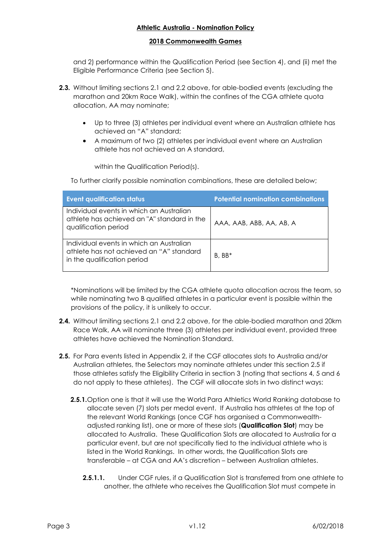#### **2018 Commonwealth Games**

and 2) performance within the Qualification Period (see Section 4), and (ii) met the Eligible Performance Criteria (see Section 5).

- **2.3.** Without limiting sections 2.1 and 2.2 above, for able-bodied events (excluding the marathon and 20km Race Walk), within the confines of the CGA athlete quota allocation, AA may nominate;
	- Up to three (3) athletes per individual event where an Australian athlete has achieved an "A" standard;
	- A maximum of two (2) athletes per individual event where an Australian athlete has not achieved an A standard,

within the Qualification Period(s).

To further clarify possible nomination combinations, these are detailed below;

| <b>Event qualification status</b>                                                                                   | <b>Potential nomination combinations</b> |
|---------------------------------------------------------------------------------------------------------------------|------------------------------------------|
| Individual events in which an Australian<br>athlete has achieved an "A" standard in the<br>qualification period     | AAA, AAB, ABB, AA, AB, A                 |
| Individual events in which an Australian<br>athlete has not achieved an "A" standard<br>in the qualification period | $B. BB*$                                 |

\*Nominations will be limited by the CGA athlete quota allocation across the team, so while nominating two B qualified athletes in a particular event is possible within the provisions of the policy, it is unlikely to occur.

- **2.4.** Without limiting sections 2.1 and 2.2 above, for the able-bodied marathon and 20km Race Walk, AA will nominate three (3) athletes per individual event, provided three athletes have achieved the Nomination Standard.
- **2.5.** For Para events listed in Appendix 2, if the CGF allocates slots to Australia and/or Australian athletes, the Selectors may nominate athletes under this section 2.5 if those athletes satisfy the Eligibility Criteria in section 3 (noting that sections 4, 5 and 6 do not apply to these athletes). The CGF will allocate slots in two distinct ways:
	- **2.5.1.**Option one is that it will use the World Para Athletics World Ranking database to allocate seven (7) slots per medal event. If Australia has athletes at the top of the relevant World Rankings (once CGF has organised a Commonwealthadjusted ranking list), one or more of these slots (**Qualification Slot**) may be allocated to Australia. These Qualification Slots are allocated to Australia for a particular event, but are not specifically tied to the individual athlete who is listed in the World Rankings. In other words, the Qualification Slots are transferable – at CGA and AA's discretion – between Australian athletes.
		- **2.5.1.1.** Under CGF rules, if a Qualification Slot is transferred from one athlete to another, the athlete who receives the Qualification Slot must compete in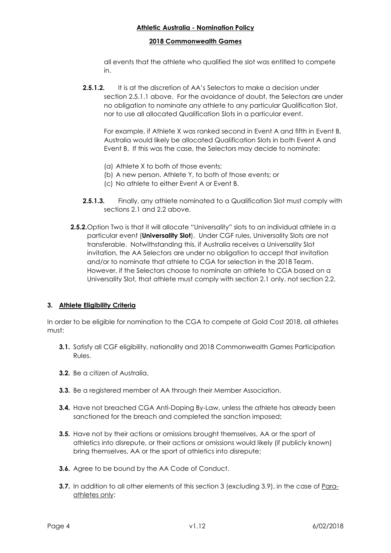#### **2018 Commonwealth Games**

all events that the athlete who qualified the slot was entitled to compete in.

**2.5.1.2.** It is at the discretion of AA's Selectors to make a decision under section 2.5.1.1 above. For the avoidance of doubt, the Selectors are under no obligation to nominate any athlete to any particular Qualification Slot, nor to use all allocated Qualification Slots in a particular event.

For example, if Athlete X was ranked second in Event A and fifth in Event B, Australia would likely be allocated Qualification Slots in both Event A and Event B. If this was the case, the Selectors may decide to nominate:

- (a) Athlete X to both of those events;
- (b) A new person, Athlete Y, to both of those events; or
- (c) No athlete to either Event A or Event B.
- **2.5.1.3.** Finally, any athlete nominated to a Qualification Slot must comply with sections 2.1 and 2.2 above.
- **2.5.2.**Option Two is that it will allocate "Universality" slots to an individual athlete in a particular event (**Universality Slot**). Under CGF rules, Universality Slots are not transferable. Notwithstanding this, if Australia receives a Universality Slot invitation, the AA Selectors are under no obligation to accept that invitation and/or to nominate that athlete to CGA for selection in the 2018 Team. However, if the Selectors choose to nominate an athlete to CGA based on a Universality Slot, that athlete must comply with section 2.1 only, not section 2.2.

# <span id="page-3-0"></span>**3. Athlete Eligibility Criteria**

In order to be eligible for nomination to the CGA to compete at Gold Cost 2018, all athletes must:

- **3.1.** Satisfy all CGF eligibility, nationality and 2018 Commonwealth Games Participation Rules.
- **3.2.** Be a citizen of Australia.
- **3.3.** Be a registered member of AA through their Member Association.
- **3.4.** Have not breached CGA Anti-Doping By-Law, unless the athlete has already been sanctioned for the breach and completed the sanction imposed;
- **3.5.** Have not by their actions or omissions brought themselves, AA or the sport of athletics into disrepute, or their actions or omissions would likely (if publicly known) bring themselves, AA or the sport of athletics into disrepute;
- **3.6.** Agree to be bound by the AA Code of Conduct.
- **3.7.** In addition to all other elements of this section 3 (excluding 3.9), in the case of Paraathletes only: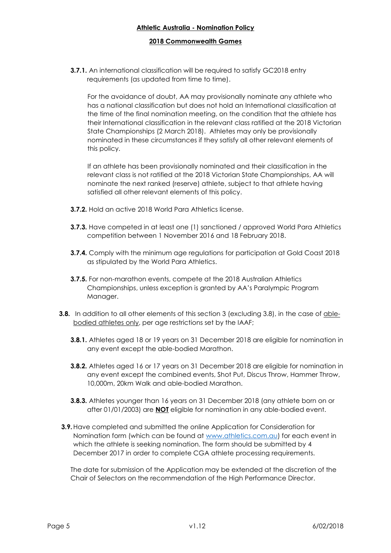#### **2018 Commonwealth Games**

**3.7.1.** An international classification will be required to satisfy GC2018 entry requirements (as updated from time to time).

For the avoidance of doubt, AA may provisionally nominate any athlete who has a national classification but does not hold an International classification at the time of the final nomination meeting, on the condition that the athlete has their International classification in the relevant class ratified at the 2018 Victorian State Championships (2 March 2018). Athletes may only be provisionally nominated in these circumstances if they satisfy all other relevant elements of this policy.

If an athlete has been provisionally nominated and their classification in the relevant class is not ratified at the 2018 Victorian State Championships, AA will nominate the next ranked (reserve) athlete, subject to that athlete having satisfied all other relevant elements of this policy.

- **3.7.2.** Hold an active 2018 World Para Athletics license.
- **3.7.3.** Have competed in at least one (1) sanctioned / approved World Para Athletics competition between 1 November 2016 and 18 February 2018.
- **3.7.4.** Comply with the minimum age regulations for participation at Gold Coast 2018 as stipulated by the World Para Athletics.
- **3.7.5.** For non-marathon events, compete at the 2018 Australian Athletics Championships, unless exception is granted by AA's Paralympic Program Manager.
- **3.8.** In addition to all other elements of this section 3 (excluding 3.8), in the case of ablebodied athletes only, per age restrictions set by the IAAF;
	- **3.8.1.** Athletes aged 18 or 19 years on 31 December 2018 are eligible for nomination in any event except the able-bodied Marathon.
	- **3.8.2.** Athletes aged 16 or 17 years on 31 December 2018 are eligible for nomination in any event except the combined events, Shot Put, Discus Throw, Hammer Throw, 10,000m, 20km Walk and able-bodied Marathon.
	- **3.8.3.** Athletes younger than 16 years on 31 December 2018 (any athlete born on or after 01/01/2003) are **NOT** eligible for nomination in any able-bodied event.
- **3.9.**Have completed and submitted the online Application for Consideration for Nomination form (which can be found at [www.athletics.com.au\)](http://athletics.com.au/) for each event in which the athlete is seeking nomination. The form should be submitted by 4 December 2017 in order to complete CGA athlete processing requirements.

The date for submission of the Application may be extended at the discretion of the Chair of Selectors on the recommendation of the High Performance Director.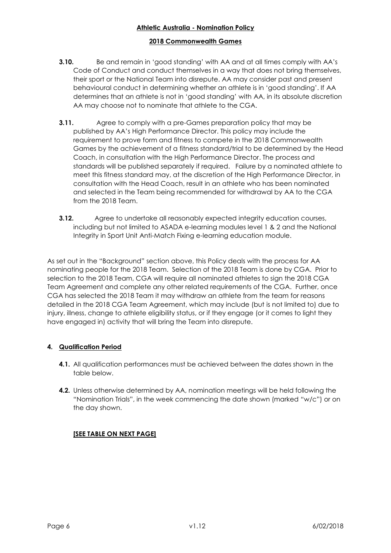# **2018 Commonwealth Games**

- **3.10.** Be and remain in 'good standing' with AA and at all times comply with AA's Code of Conduct and conduct themselves in a way that does not bring themselves, their sport or the National Team into disrepute. AA may consider past and present behavioural conduct in determining whether an athlete is in 'good standing'. If AA determines that an athlete is not in 'good standing' with AA, in its absolute discretion AA may choose not to nominate that athlete to the CGA.
- **3.11.** Agree to comply with a pre-Games preparation policy that may be published by AA's High Performance Director. This policy may include the requirement to prove form and fitness to compete in the 2018 Commonwealth Games by the achievement of a fitness standard/trial to be determined by the Head Coach, in consultation with the High Performance Director. The process and standards will be published separately if required. Failure by a nominated athlete to meet this fitness standard may, at the discretion of the High Performance Director, in consultation with the Head Coach, result in an athlete who has been nominated and selected in the Team being recommended for withdrawal by AA to the CGA from the 2018 Team.
- **3.12.** Agree to undertake all reasonably expected integrity education courses, including but not limited to ASADA e-learning modules level 1 & 2 and the National Integrity in Sport Unit Anti-Match Fixing e-learning education module.

As set out in the "Background" section above, this Policy deals with the process for AA nominating people for the 2018 Team. Selection of the 2018 Team is done by CGA. Prior to selection to the 2018 Team, CGA will require all nominated athletes to sign the 2018 CGA Team Agreement and complete any other related requirements of the CGA. Further, once CGA has selected the 2018 Team it may withdraw an athlete from the team for reasons detailed in the 2018 CGA Team Agreement, which may include (but is not limited to) due to injury, illness, change to athlete eligibility status, or if they engage (or it comes to light they have engaged in) activity that will bring the Team into disrepute.

# <span id="page-5-0"></span>**4. Qualification Period**

- **4.1.** All qualification performances must be achieved between the dates shown in the table below.
- **4.2.** Unless otherwise determined by AA, nomination meetings will be held following the "Nomination Trials", in the week commencing the date shown (marked "w/c") or on the day shown.

# **[SEE TABLE ON NEXT PAGE]**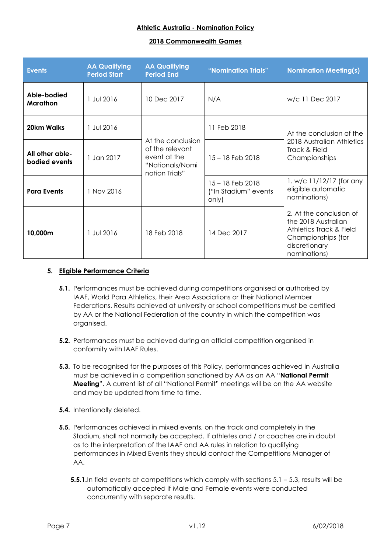#### **2018 Commonwealth Games**

| <b>Events</b>                    | <b>AA Qualifying</b><br><b>Period Start</b> | <b>AA Qualifying</b><br><b>Period End</b>                                                 | "Nomination Trials"                               | <b>Nomination Meeting(s)</b>                                                                                                     |  |
|----------------------------------|---------------------------------------------|-------------------------------------------------------------------------------------------|---------------------------------------------------|----------------------------------------------------------------------------------------------------------------------------------|--|
| Able-bodied<br>Marathon          | 1 Jul 2016                                  | 10 Dec 2017                                                                               | N/A                                               | w/c 11 Dec 2017                                                                                                                  |  |
| 20km Walks                       | 1 Jul 2016                                  |                                                                                           | 11 Feb 2018                                       | At the conclusion of the<br>2018 Australian Athletics<br>Track & Field<br>Championships                                          |  |
| All other able-<br>bodied events | 1 Jan 2017                                  | At the conclusion<br>of the relevant<br>event at the<br>"Nationals/Nomi<br>nation Trials" | $15 - 18$ Feb 2018                                |                                                                                                                                  |  |
| <b>Para Events</b>               | 1 Nov 2016                                  |                                                                                           | 15 - 18 Feb 2018<br>("In Stadium" events<br>only) | 1. w/c $11/12/17$ (for any<br>eligible automatic<br>nominations)                                                                 |  |
| 10,000m                          | 1 Jul 2016                                  | 18 Feb 2018                                                                               | 14 Dec 2017                                       | 2. At the conclusion of<br>the 2018 Australian<br>Athletics Track & Field<br>Championships (for<br>discretionary<br>nominations) |  |

#### <span id="page-6-1"></span>**5. Eligible Performance Criteria**

- <span id="page-6-0"></span>**5.1.** Performances must be achieved during competitions organised or authorised by IAAF, World Para Athletics, their Area Associations or their National Member Federations. Results achieved at university or school competitions must be certified by AA or the National Federation of the country in which the competition was organised.
- **5.2.** Performances must be achieved during an official competition organised in conformity with IAAF Rules.
- **5.3.** To be recognised for the purposes of this Policy, performances achieved in Australia must be achieved in a competition sanctioned by AA as an AA "**National Permit Meeting**". A current list of all "National Permit" meetings will be on the AA website and may be updated from time to time.
- **5.4.** Intentionally deleted.
- **5.5.** Performances achieved in mixed events, on the track and completely in the Stadium, shall not normally be accepted. If athletes and / or coaches are in doubt as to the interpretation of the IAAF and AA rules in relation to qualifying performances in Mixed Events they should contact the Competitions Manager of AA.
	- **5.5.1.**In field events at competitions which comply with sections [5.1](#page-6-0) 5.3, results will be automatically accepted if Male and Female events were conducted concurrently with separate results.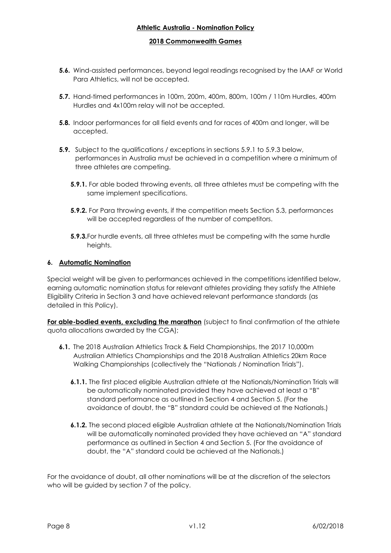#### **2018 Commonwealth Games**

- **5.6.** Wind-assisted performances, beyond legal readings recognised by the IAAF or World Para Athletics, will not be accepted.
- **5.7.** Hand-timed performances in 100m, 200m, 400m, 800m, 100m / 110m Hurdles, 400m Hurdles and 4x100m relay will not be accepted.
- **5.8.** Indoor performances for all field events and for races of 400m and longer, will be accepted.
- **5.9.** Subject to the qualifications / exceptions in sections 5.9.1 to 5.9.3 below, performances in Australia must be achieved in a competition where a minimum of three athletes are competing.
	- **5.9.1.** For able boded throwing events, all three athletes must be competing with the same implement specifications.
	- **5.9.2.** For Para throwing events, if the competition meets Section 5.3, performances will be accepted regardless of the number of competitors.
	- **5.9.3.**For hurdle events, all three athletes must be competing with the same hurdle heights.

#### <span id="page-7-0"></span>**6. Automatic Nomination**

Special weight will be given to performances achieved in the competitions identified below, earning automatic nomination status for relevant athletes providing they satisfy the Athlete Eligibility Criteria in Section 3 and have achieved relevant performance standards (as detailed in this Policy).

**For able-bodied events, excluding the marathon** (subject to final confirmation of the athlete quota allocations awarded by the CGA);

- **6.1.** The 2018 Australian Athletics Track & Field Championships, the 2017 10,000m Australian Athletics Championships and the 2018 Australian Athletics 20km Race Walking Championships (collectively the "Nationals / Nomination Trials").
	- **6.1.1.** The first placed eligible Australian athlete at the Nationals/Nomination Trials will be automatically nominated provided they have achieved at least a "B" standard performance as outlined in Section [4](#page-5-0) and Section [5.](#page-6-1) (For the avoidance of doubt, the "B" standard could be achieved at the Nationals.)
	- **6.1.2.** The second placed eligible Australian athlete at the Nationals/Nomination Trials will be automatically nominated provided they have achieved an "A" standard performance as outlined in Section [4](#page-5-0) and Section [5.](#page-6-1) (For the avoidance of doubt, the "A" standard could be achieved at the Nationals.)

For the avoidance of doubt, all other nominations will be at the discretion of the selectors who will be quided by section 7 of the policy.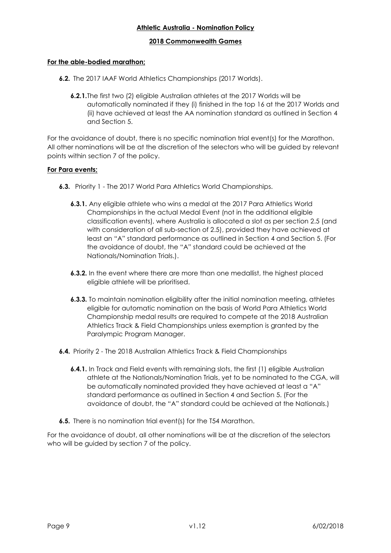#### **2018 Commonwealth Games**

# **For the able-bodied marathon;**

- **6.2.** The 2017 IAAF World Athletics Championships (2017 Worlds).
	- **6.2.1.**The first two (2) eligible Australian athletes at the 2017 Worlds will be automatically nominated if they (i) finished in the top 16 at the 2017 Worlds and (ii) have achieved at least the AA nomination standard as outlined in Section [4](#page-5-0) and Section [5.](#page-6-1)

For the avoidance of doubt, there is no specific nomination trial event(s) for the Marathon. All other nominations will be at the discretion of the selectors who will be guided by relevant points within section 7 of the policy.

#### **For Para events;**

- **6.3.** Priority 1 The 2017 World Para Athletics World Championships.
	- **6.3.1.** Any eligible athlete who wins a medal at the 2017 Para Athletics World Championships in the actual Medal Event (not in the additional eligible classification events), where Australia is allocated a slot as per section 2.5 (and with consideration of all sub-section of 2.5), provided they have achieved at least an "A" standard performance as outlined in Section [4](#page-5-0) and Section [5.](#page-6-1) (For the avoidance of doubt, the "A" standard could be achieved at the Nationals/Nomination Trials.).
	- **6.3.2.** In the event where there are more than one medallist, the highest placed eligible athlete will be prioritised.
	- **6.3.3.** To maintain nomination eligibility after the initial nomination meeting, athletes eligible for automatic nomination on the basis of World Para Athletics World Championship medal results are required to compete at the 2018 Australian Athletics Track & Field Championships unless exemption is granted by the Paralympic Program Manager.
- **6.4.** Priority 2 The 2018 Australian Athletics Track & Field Championships
	- **6.4.1.** In Track and Field events with remaining slots, the first (1) eligible Australian athlete at the Nationals/Nomination Trials, yet to be nominated to the CGA, will be automatically nominated provided they have achieved at least a "A" standard performance as outlined in Section 4 and Section 5. (For the avoidance of doubt, the "A" standard could be achieved at the Nationals.)
- **6.5.** There is no nomination trial event(s) for the T54 Marathon.

For the avoidance of doubt, all other nominations will be at the discretion of the selectors who will be quided by section 7 of the policy.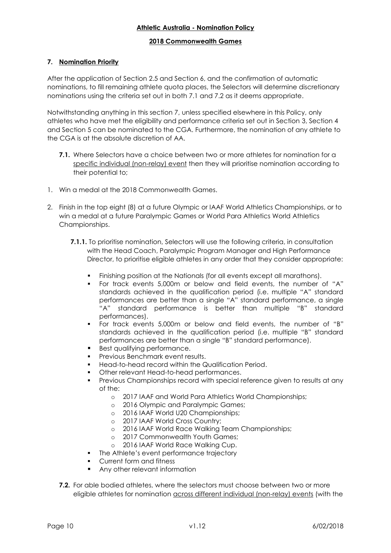# **2018 Commonwealth Games**

# **7. Nomination Priority**

After the application of Section 2.5 and Section [6,](#page-7-0) and the confirmation of automatic nominations, to fill remaining athlete quota places, the Selectors will determine discretionary nominations using the criteria set out in both 7.1 and 7.2 as it deems appropriate.

Notwithstanding anything in this section 7, unless specified elsewhere in this Policy, only athletes who have met the eligibility and performance criteria set out in Section [3,](#page-3-0) Section [4](#page-5-0) and Section [5](#page-6-1) can be nominated to the CGA. Furthermore, the nomination of any athlete to the CGA is at the absolute discretion of AA.

- **7.1.** Where Selectors have a choice between two or more athletes for nomination for a specific individual (non-relay) event then they will prioritise nomination according to their potential to;
- 1. Win a medal at the 2018 Commonwealth Games.
- 2. Finish in the top eight (8) at a future Olympic or IAAF World Athletics Championships, or to win a medal at a future Paralympic Games or World Para Athletics World Athletics Championships.
	- **7.1.1.** To prioritise nomination, Selectors will use the following criteria, in consultation with the Head Coach, Paralympic Program Manager and High Performance Director, to prioritise eligible athletes in any order that they consider appropriate:
		- Finishing position at the Nationals (for all events except all marathons).
		- For track events 5,000m or below and field events, the number of "A" standards achieved in the qualification period (i.e. multiple "A" standard performances are better than a single "A" standard performance, a single "A" standard performance is better than multiple "B" standard performances).
		- For track events 5,000m or below and field events, the number of "B" standards achieved in the qualification period (i.e. multiple "B" standard performances are better than a single "B" standard performance).
		- Best qualifying performance.
		- **Previous Benchmark event results.**
		- Head-to-head record within the Qualification Period.
		- Other relevant Head-to-head performances.
		- Previous Championships record with special reference given to results at any of the:
			- o 2017 IAAF and World Para Athletics World Championships;
			- o 2016 Olympic and Paralympic Games;
			- o 2016 IAAF World U20 Championships;
			- o 2017 IAAF World Cross Country;
			- o 2016 IAAF World Race Walking Team Championships;
			- o 2017 Commonwealth Youth Games;
			- o 2016 IAAF World Race Walking Cup.
		- **•** The Athlete's event performance trajectory
		- Current form and fitness
		- Any other relevant information
	- **7.2.** For able bodied athletes, where the selectors must choose between two or more eligible athletes for nomination across different individual (non-relay) events (with the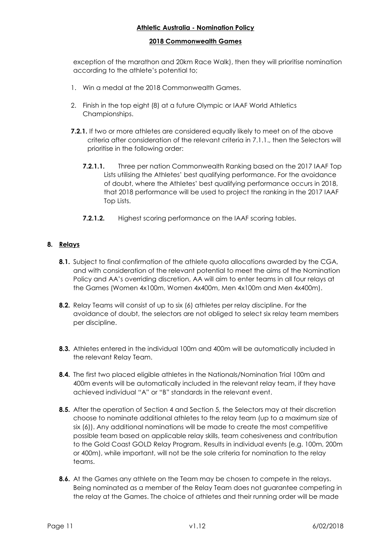#### **2018 Commonwealth Games**

exception of the marathon and 20km Race Walk), then they will prioritise nomination according to the athlete's potential to;

- 1. Win a medal at the 2018 Commonwealth Games.
- 2. Finish in the top eight (8) at a future Olympic or IAAF World Athletics Championships.
- **7.2.1.** If two or more athletes are considered equally likely to meet on of the above criteria after consideration of the relevant criteria in 7.1.1., then the Selectors will prioritise in the following order:
	- **7.2.1.1.** Three per nation Commonwealth Ranking based on the 2017 IAAF Top Lists utilising the Athletes' best qualifying performance. For the avoidance of doubt, where the Athletes' best qualifying performance occurs in 2018, that 2018 performance will be used to project the ranking in the 2017 IAAF Top Lists.
	- **7.2.1.2.** Highest scoring performance on the IAAF scoring tables.

# **8. Relays**

- **8.1.** Subject to final confirmation of the athlete quota allocations awarded by the CGA, and with consideration of the relevant potential to meet the aims of the Nomination Policy and AA's overriding discretion, AA will aim to enter teams in all four relays at the Games (Women 4x100m, Women 4x400m, Men 4x100m and Men 4x400m).
- **8.2.** Relay Teams will consist of up to six (6) athletes per relay discipline. For the avoidance of doubt, the selectors are not obliged to select six relay team members per discipline.
- **8.3.** Athletes entered in the individual 100m and 400m will be automatically included in the relevant Relay Team.
- **8.4.** The first two placed eligible athletes in the Nationals/Nomination Trial 100m and 400m events will be automatically included in the relevant relay team, if they have achieved individual "A" or "B" standards in the relevant event.
- **8.5.** After the operation of Section 4 and Section 5, the Selectors may at their discretion choose to nominate additional athletes to the relay team (up to a maximum size of six (6)). Any additional nominations will be made to create the most competitive possible team based on applicable relay skills, team cohesiveness and contribution to the Gold Coast GOLD Relay Program. Results in individual events (e.g. 100m, 200m or 400m), while important, will not be the sole criteria for nomination to the relay teams.
- **8.6.** At the Games any athlete on the Team may be chosen to compete in the relays. Being nominated as a member of the Relay Team does not guarantee competing in the relay at the Games. The choice of athletes and their running order will be made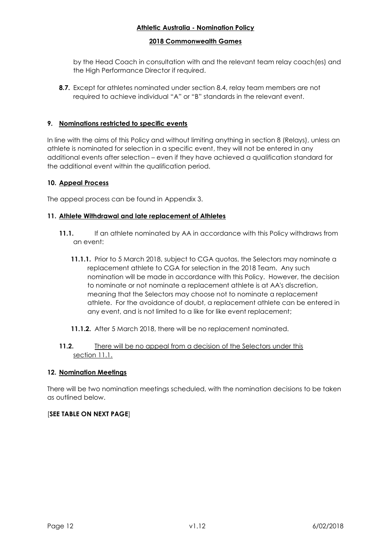#### **2018 Commonwealth Games**

by the Head Coach in consultation with and the relevant team relay coach(es) and the High Performance Director if required.

**8.7.** Except for athletes nominated under section 8.4, relay team members are not required to achieve individual "A" or "B" standards in the relevant event.

# **9. Nominations restricted to specific events**

In line with the aims of this Policy and without limiting anything in section 8 (Relays), unless an athlete is nominated for selection in a specific event, they will not be entered in any additional events after selection – even if they have achieved a qualification standard for the additional event within the qualification period.

#### **10. Appeal Process**

The appeal process can be found in Appendix 3.

#### **11. Athlete Withdrawal and late replacement of Athletes**

- **11.1.** If an athlete nominated by AA in accordance with this Policy withdraws from an event:
	- **11.1.1.** Prior to 5 March 2018, subject to CGA quotas, the Selectors may nominate a replacement athlete to CGA for selection in the 2018 Team. Any such nomination will be made in accordance with this Policy. However, the decision to nominate or not nominate a replacement athlete is at AA's discretion, meaning that the Selectors may choose not to nominate a replacement athlete. For the avoidance of doubt, a replacement athlete can be entered in any event, and is not limited to a like for like event replacement;
	- **11.1.2.** After 5 March 2018, there will be no replacement nominated.

#### **11.2.** There will be no appeal from a decision of the Selectors under this section 11.1.

#### **12. Nomination Meetings**

There will be two nomination meetings scheduled, with the nomination decisions to be taken as outlined below.

# [**SEE TABLE ON NEXT PAGE**]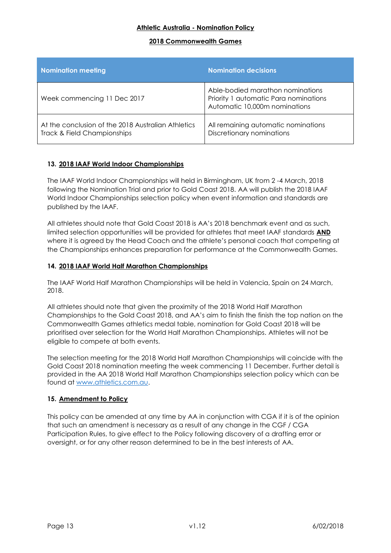#### **2018 Commonwealth Games**

| <b>Nomination meeting</b>                                                         | <b>Nomination decisions</b>                                                                                |
|-----------------------------------------------------------------------------------|------------------------------------------------------------------------------------------------------------|
| Week commencing 11 Dec 2017                                                       | Able-bodied marathon nominations<br>Priority 1 automatic Para nominations<br>Automatic 10,000m nominations |
| At the conclusion of the 2018 Australian Athletics<br>Track & Field Championships | All remaining automatic nominations<br>Discretionary nominations                                           |

# **13. 2018 IAAF World Indoor Championships**

The IAAF World Indoor Championships will held in Birmingham, UK from 2 -4 March, 2018 following the Nomination Trial and prior to Gold Coast 2018. AA will publish the 2018 IAAF World Indoor Championships selection policy when event information and standards are published by the IAAF.

All athletes should note that Gold Coast 2018 is AA's 2018 benchmark event and as such, limited selection opportunities will be provided for athletes that meet IAAF standards **AND** where it is agreed by the Head Coach and the athlete's personal coach that competing at the Championships enhances preparation for performance at the Commonwealth Games.

#### **14. 2018 IAAF World Half Marathon Championships**

The IAAF World Half Marathon Championships will be held in Valencia, Spain on 24 March, 2018.

All athletes should note that given the proximity of the 2018 World Half Marathon Championships to the Gold Coast 2018, and AA's aim to finish the finish the top nation on the Commonwealth Games athletics medal table, nomination for Gold Coast 2018 will be prioritised over selection for the World Half Marathon Championships. Athletes will not be eligible to compete at both events.

The selection meeting for the 2018 World Half Marathon Championships will coincide with the Gold Coast 2018 nomination meeting the week commencing 11 December. Further detail is provided in the AA 2018 World Half Marathon Championships selection policy which can be found at [www.athletics.com.au.](http://www.athletics.com.au/)

#### **15. Amendment to Policy**

This policy can be amended at any time by AA in conjunction with CGA if it is of the opinion that such an amendment is necessary as a result of any change in the CGF / CGA Participation Rules, to give effect to the Policy following discovery of a drafting error or oversight, or for any other reason determined to be in the best interests of AA.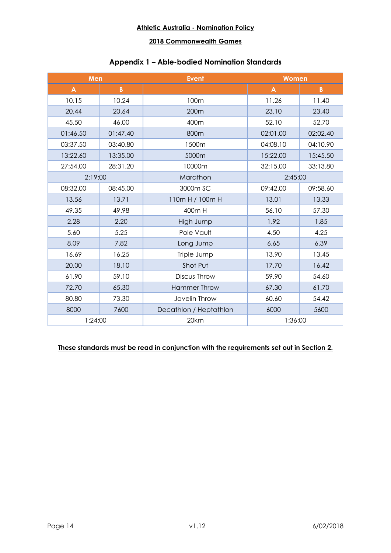# **2018 Commonwealth Games**

# **Appendix 1 – Able-bodied Nomination Standards**

| Men          |                                | <b>Event</b>           | Women    |           |
|--------------|--------------------------------|------------------------|----------|-----------|
| $\mathbf{A}$ | $\pmb{B}$                      |                        | A        | $\pmb{B}$ |
| 10.15        | 10.24                          | 100m                   | 11.26    | 11.40     |
| 20.44        | 20.64                          | 200m                   | 23.10    | 23.40     |
| 45.50        | 46.00                          | 400m                   | 52.10    | 52.70     |
| 01:46.50     | 01:47.40                       | 800m                   | 02:01.00 | 02:02.40  |
| 03:37.50     | 03:40.80                       | 1500m                  | 04:08.10 | 04:10.90  |
| 13:22.60     | 13:35.00                       | 5000m                  | 15:22.00 | 15:45.50  |
| 27:54.00     | 28:31.20                       | 10000m                 | 32:15.00 | 33:13.80  |
|              | 2:19:00<br>Marathon<br>2:45:00 |                        |          |           |
| 08:32.00     | 08:45.00                       | 3000m SC               | 09:42.00 | 09:58.60  |
| 13.56        | 13.71                          | 110m H / 100m H        | 13.01    | 13.33     |
| 49.35        | 49.98                          | 400m H                 | 56.10    | 57.30     |
| 2.28         | 2.20                           | High Jump              | 1.92     | 1.85      |
| 5.60         | 5.25                           | Pole Vault             | 4.50     | 4.25      |
| 8.09         | 7.82                           | Long Jump              | 6.65     | 6.39      |
| 16.69        | 16.25                          | Triple Jump            | 13.90    | 13.45     |
| 20.00        | 18.10                          | Shot Put               | 17.70    | 16.42     |
| 61.90        | 59.10                          | Discus Throw           | 59.90    | 54.60     |
| 72.70        | 65.30                          | <b>Hammer Throw</b>    | 67.30    | 61.70     |
| 80.80        | 73.30                          | Javelin Throw          | 60.60    | 54.42     |
| 8000         | 7600                           | Decathlon / Heptathlon | 6000     | 5600      |
| 1:24:00      |                                | 20km                   | 1:36:00  |           |

# **These standards must be read in conjunction with the requirements set out in Section [2.](#page-1-0)**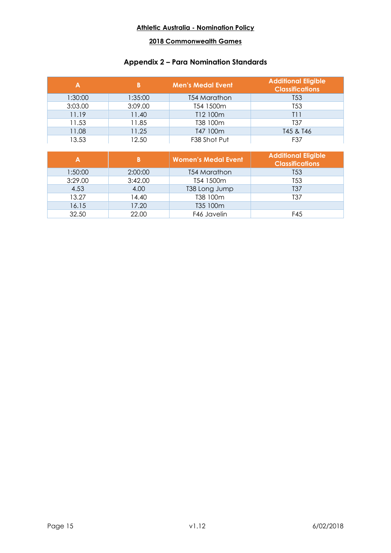# **2018 Commonwealth Games**

# **Appendix 2 – Para Nomination Standards**

| Α       |         | <b>Men's Medal Event</b> | <b>Additional Eligible</b><br><b>Classifications</b> |
|---------|---------|--------------------------|------------------------------------------------------|
| 1:30:00 | 1:35:00 | <b>T54 Marathon</b>      | T <sub>53</sub>                                      |
| 3:03.00 | 3:09.00 | T54 1500m                | T <sub>53</sub>                                      |
| 11.19   | 11.40   | T12 100m                 | 111                                                  |
| 11.53   | 11.85   | T38 100m                 | T37                                                  |
| 11.08   | 11.25   | T47 100m                 | T45 & T46                                            |
| 13.53   | 12.50   | F38 Shot Put             | F37                                                  |

|         |         | <b>Women's Medal Event</b> | <b>Additional Eligible</b><br><b>Classifications</b> |
|---------|---------|----------------------------|------------------------------------------------------|
| 1:50:00 | 2:00:00 | T54 Marathon               | T <sub>53</sub>                                      |
| 3:29.00 | 3:42.00 | T54 1500m                  | T <sub>53</sub>                                      |
| 4.53    | 4.00    | T38 Long Jump              | T <sub>37</sub>                                      |
| 13.27   | 14.40   | T38 100m                   | T <sub>37</sub>                                      |
| 16.15   | 17.20   | T35 100m                   |                                                      |
| 32.50   | 22.00   | F46 Javelin                | F45                                                  |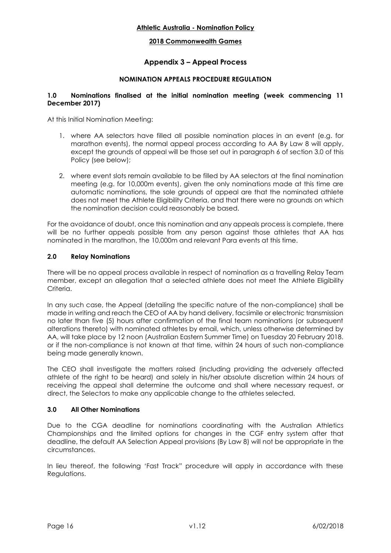#### **2018 Commonwealth Games**

# **Appendix 3 – Appeal Process**

#### **NOMINATION APPEALS PROCEDURE REGULATION**

#### **1.0 Nominations finalised at the initial nomination meeting (week commencing 11 December 2017)**

At this Initial Nomination Meeting:

- 1. where AA selectors have filled all possible nomination places in an event (e.g. for marathon events), the normal appeal process according to AA By Law 8 will apply, except the grounds of appeal will be those set out in paragraph 6 of section 3.0 of this Policy (see below);
- 2. where event slots remain available to be filled by AA selectors at the final nomination meeting (e.g. for 10,000m events), given the only nominations made at this time are automatic nominations, the sole grounds of appeal are that the nominated athlete does not meet the Athlete Eligibility Criteria, and that there were no grounds on which the nomination decision could reasonably be based.

For the avoidance of doubt, once this nomination and any appeals process is complete, there will be no further appeals possible from any person against those athletes that AA has nominated in the marathon, the 10,000m and relevant Para events at this time.

#### **2.0 Relay Nominations**

There will be no appeal process available in respect of nomination as a travelling Relay Team member, except an allegation that a selected athlete does not meet the Athlete Eligibility Criteria.

In any such case, the Appeal (detailing the specific nature of the non-compliance) shall be made in writing and reach the CEO of AA by hand delivery, facsimile or electronic transmission no later than five (5) hours after confirmation of the final team nominations (or subsequent alterations thereto) with nominated athletes by email, which, unless otherwise determined by AA, will take place by 12 noon (Australian Eastern Summer Time) on Tuesday 20 February 2018. or if the non-compliance is not known at that time, within 24 hours of such non-compliance being made generally known.

The CEO shall investigate the matters raised (including providing the adversely affected athlete of the right to be heard) and solely in his/her absolute discretion within 24 hours of receiving the appeal shall determine the outcome and shall where necessary request, or direct, the Selectors to make any applicable change to the athletes selected.

#### **3.0 All Other Nominations**

Due to the CGA deadline for nominations coordinating with the Australian Athletics Championships and the limited options for changes in the CGF entry system after that deadline, the default AA Selection Appeal provisions (By Law 8) will not be appropriate in the circumstances.

In lieu thereof, the following 'Fast Track" procedure will apply in accordance with these Regulations.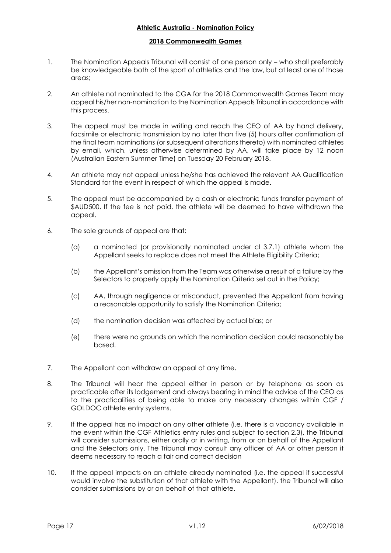#### **2018 Commonwealth Games**

- 1. The Nomination Appeals Tribunal will consist of one person only who shall preferably be knowledgeable both of the sport of athletics and the law, but at least one of those areas;
- 2. An athlete not nominated to the CGA for the 2018 Commonwealth Games Team may appeal his/her non-nomination to the Nomination Appeals Tribunal in accordance with this process.
- 3. The appeal must be made in writing and reach the CEO of AA by hand delivery, facsimile or electronic transmission by no later than five (5) hours after confirmation of the final team nominations (or subsequent alterations thereto) with nominated athletes by email, which, unless otherwise determined by AA, will take place by 12 noon (Australian Eastern Summer Time) on Tuesday 20 February 2018.
- 4. An athlete may not appeal unless he/she has achieved the relevant AA Qualification Standard for the event in respect of which the appeal is made.
- 5. The appeal must be accompanied by a cash or electronic funds transfer payment of \$AUD500. If the fee is not paid, the athlete will be deemed to have withdrawn the appeal.
- 6. The sole grounds of appeal are that:
	- (a) a nominated (or provisionally nominated under cl 3.7.1) athlete whom the Appellant seeks to replace does not meet the Athlete Eligibility Criteria;
	- (b) the Appellant's omission from the Team was otherwise a result of a failure by the Selectors to properly apply the Nomination Criteria set out in the Policy;
	- (c) AA, through negligence or misconduct, prevented the Appellant from having a reasonable opportunity to satisfy the Nomination Criteria;
	- (d) the nomination decision was affected by actual bias; or
	- (e) there were no grounds on which the nomination decision could reasonably be based.
- 7. The Appellant can withdraw an appeal at any time.
- 8. The Tribunal will hear the appeal either in person or by telephone as soon as practicable after its lodgement and always bearing in mind the advice of the CEO as to the practicalities of being able to make any necessary changes within CGF / GOLDOC athlete entry systems.
- 9. If the appeal has no impact on any other athlete (i.e. there is a vacancy available in the event within the CGF Athletics entry rules and subject to section 2.3), the Tribunal will consider submissions, either orally or in writing, from or on behalf of the Appellant and the Selectors only. The Tribunal may consult any officer of AA or other person it deems necessary to reach a fair and correct decision
- 10. If the appeal impacts on an athlete already nominated (i.e. the appeal if successful would involve the substitution of that athlete with the Appellant), the Tribunal will also consider submissions by or on behalf of that athlete.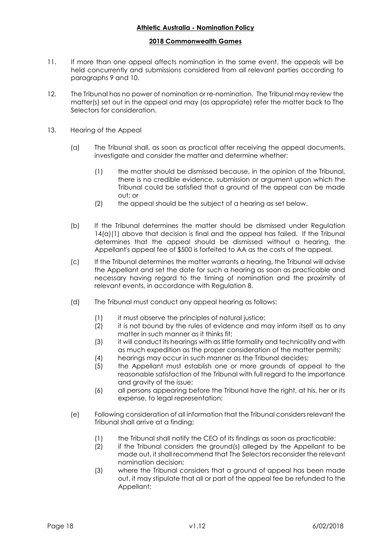#### **2018 Commonwealth Games**

- 11. If more than one appeal affects nomination in the same event, the appeals will be held concurrently and submissions considered from all relevant parties according to paragraphs 9 and 10.
- 12. The Tribunal has no power of nomination or re-nomination. The Tribunal may review the matter(s) set out in the appeal and may (as appropriate) refer the matter back to The Selectors for consideration.
- 13. Hearing of the Appeal
	- (a) The Tribunal shall, as soon as practical after receiving the appeal documents, investigate and consider the matter and determine whether:
		- (1) the matter should be dismissed because, in the opinion of the Tribunal, there is no credible evidence, submission or argument upon which the Tribunal could be satisfied that a ground of the appeal can be made out; or
		- (2) the appeal should be the subject of a hearing as set below.
	- (b) If the Tribunal determines the matter should be dismissed under Regulation  $14(a)(1)$  above that decision is final and the appeal has failed. If the Tribunal determines that the appeal should be dismissed without a hearing, the Appellant's appeal fee of \$500 is forfeited to AA as the costs of the appeal.
	- (c) If the Tribunal determines the matter warrants a hearing, the Tribunal will advise the Appellant and set the date for such a hearing as soon as practicable and necessary having regard to the timing of nomination and the proximity of relevant events, in accordance with Regulation 8.
	- (d) The Tribunal must conduct any appeal hearing as follows:
		- (1) it must observe the principles of natural justice;
		- (2) it is not bound by the rules of evidence and may inform itself as to any matter in such manner as it thinks fit;
		- (3) it will conduct its hearings with as little formality and technicality and with as much expedition as the proper consideration of the matter permits;
		- (4) hearings may occur in such manner as the Tribunal decides;
		- (5) the Appellant must establish one or more grounds of appeal to the reasonable satisfaction of the Tribunal with full regard to the importance and gravity of the issue;
		- (6) all persons appearing before the Tribunal have the right, at his, her or its expense, to legal representation;
	- (e) Following consideration of all information that the Tribunal considers relevant the Tribunal shall arrive at a finding;
		- (1) the Tribunal shall notify the CEO of its findings as soon as practicable;
		- (2) if the Tribunal considers the ground(s) alleged by the Appellant to be made out, it shall recommend that The Selectors reconsider the relevant nomination decision;
		- (3) where the Tribunal considers that a ground of appeal has been made out, it may stipulate that all or part of the appeal fee be refunded to the Appellant;